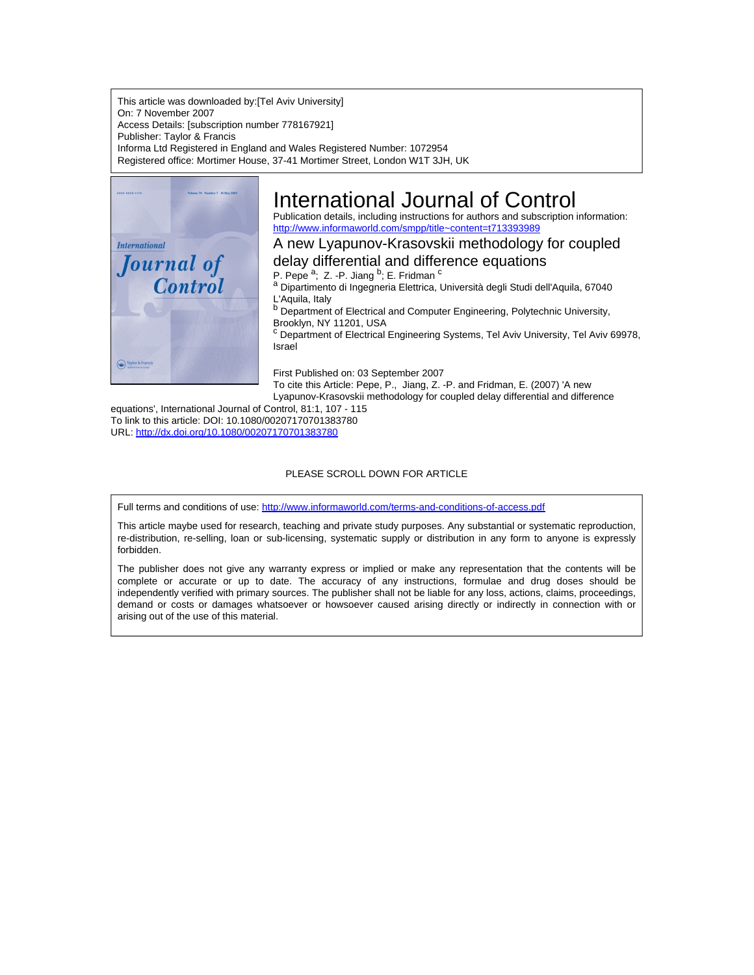This article was downloaded by:[Tel Aviv University] On: 7 November 2007 Access Details: [subscription number 778167921] Publisher: Taylor & Francis Informa Ltd Registered in England and Wales Registered Number: 1072954 Registered office: Mortimer House, 37-41 Mortimer Street, London W1T 3JH, UK



# International Journal of Control

Publication details, including instructions for authors and subscription information: <http://www.informaworld.com/smpp/title~content=t713393989>

A new Lyapunov-Krasovskii methodology for coupled

delay differential and difference equations

P. Pepe<sup>a</sup>; Z. -P. Jiang <sup>b</sup>; E. Fridman <sup>c</sup>

a Dipartimento di Ingegneria Elettrica, Università degli Studi dell'Aquila, 67040 L'Aquila, Italy

**b** Department of Electrical and Computer Engineering, Polytechnic University, Brooklyn, NY 11201, USA

<sup>c</sup> Department of Electrical Engineering Systems, Tel Aviv University, Tel Aviv 69978, Israel

First Published on: 03 September 2007

To cite this Article: Pepe, P., Jiang, Z. -P. and Fridman, E. (2007) 'A new Lyapunov-Krasovskii methodology for coupled delay differential and difference

equations', International Journal of Control, 81:1, 107 - 115 To link to this article: DOI: 10.1080/00207170701383780 URL: <http://dx.doi.org/10.1080/00207170701383780>

## PLEASE SCROLL DOWN FOR ARTICLE

Full terms and conditions of use: <http://www.informaworld.com/terms-and-conditions-of-access.pdf>

This article maybe used for research, teaching and private study purposes. Any substantial or systematic reproduction, re-distribution, re-selling, loan or sub-licensing, systematic supply or distribution in any form to anyone is expressly forbidden.

The publisher does not give any warranty express or implied or make any representation that the contents will be complete or accurate or up to date. The accuracy of any instructions, formulae and drug doses should be independently verified with primary sources. The publisher shall not be liable for any loss, actions, claims, proceedings, demand or costs or damages whatsoever or howsoever caused arising directly or indirectly in connection with or arising out of the use of this material.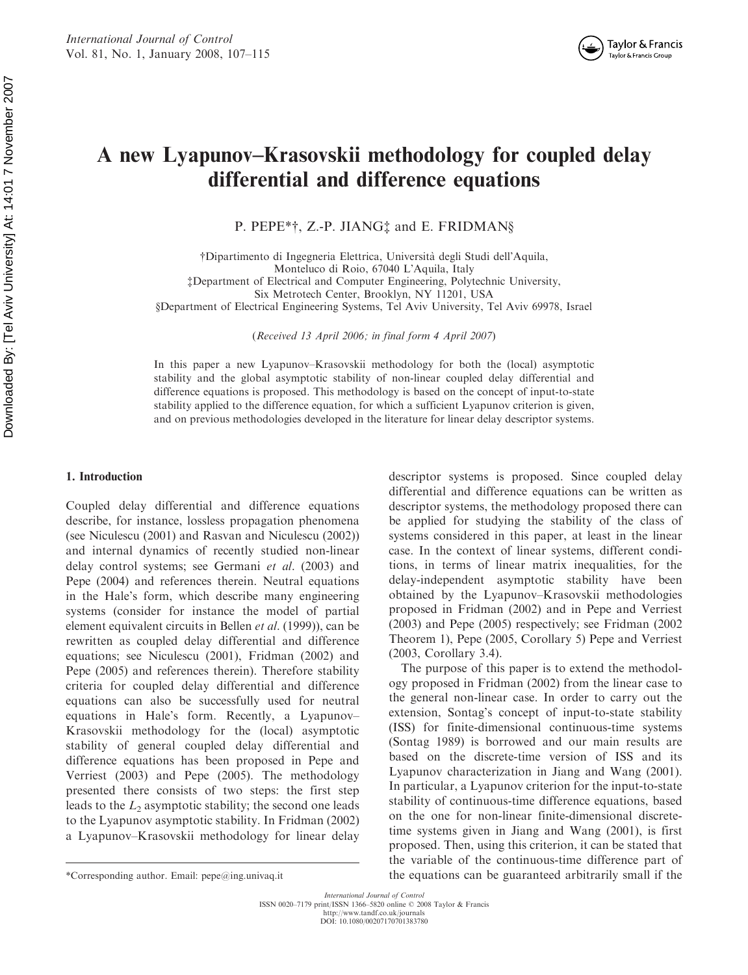# A new Lyapunov–Krasovskii methodology for coupled delay differential and difference equations

P. PEPE\*†, Z.-P. JIANG<sup>†</sup> and E. FRIDMAN§

yDipartimento di Ingegneria Elettrica, Universita` degli Studi dell'Aquila, Monteluco di Roio, 67040 L'Aquila, Italy zDepartment of Electrical and Computer Engineering, Polytechnic University, Six Metrotech Center, Brooklyn, NY 11201, USA xDepartment of Electrical Engineering Systems, Tel Aviv University, Tel Aviv 69978, Israel

(Received 13 April 2006; in final form 4 April 2007)

In this paper a new Lyapunov–Krasovskii methodology for both the (local) asymptotic stability and the global asymptotic stability of non-linear coupled delay differential and difference equations is proposed. This methodology is based on the concept of input-to-state stability applied to the difference equation, for which a sufficient Lyapunov criterion is given, and on previous methodologies developed in the literature for linear delay descriptor systems.

#### 1. Introduction

Coupled delay differential and difference equations describe, for instance, lossless propagation phenomena (see Niculescu (2001) and Rasvan and Niculescu (2002)) and internal dynamics of recently studied non-linear delay control systems; see Germani et al. (2003) and Pepe (2004) and references therein. Neutral equations in the Hale's form, which describe many engineering systems (consider for instance the model of partial element equivalent circuits in Bellen et al. (1999)), can be rewritten as coupled delay differential and difference equations; see Niculescu (2001), Fridman (2002) and Pepe (2005) and references therein). Therefore stability criteria for coupled delay differential and difference equations can also be successfully used for neutral equations in Hale's form. Recently, a Lyapunov– Krasovskii methodology for the (local) asymptotic stability of general coupled delay differential and difference equations has been proposed in Pepe and Verriest (2003) and Pepe (2005). The methodology presented there consists of two steps: the first step leads to the  $L_2$  asymptotic stability; the second one leads to the Lyapunov asymptotic stability. In Fridman (2002) a Lyapunov–Krasovskii methodology for linear delay

descriptor systems is proposed. Since coupled delay differential and difference equations can be written as descriptor systems, the methodology proposed there can be applied for studying the stability of the class of systems considered in this paper, at least in the linear case. In the context of linear systems, different conditions, in terms of linear matrix inequalities, for the delay-independent asymptotic stability have been obtained by the Lyapunov–Krasovskii methodologies proposed in Fridman (2002) and in Pepe and Verriest (2003) and Pepe (2005) respectively; see Fridman (2002 Theorem 1), Pepe (2005, Corollary 5) Pepe and Verriest (2003, Corollary 3.4).

The purpose of this paper is to extend the methodology proposed in Fridman (2002) from the linear case to the general non-linear case. In order to carry out the extension, Sontag's concept of input-to-state stability (ISS) for finite-dimensional continuous-time systems (Sontag 1989) is borrowed and our main results are based on the discrete-time version of ISS and its Lyapunov characterization in Jiang and Wang (2001). In particular, a Lyapunov criterion for the input-to-state stability of continuous-time difference equations, based on the one for non-linear finite-dimensional discretetime systems given in Jiang and Wang (2001), is first proposed. Then, using this criterion, it can be stated that the variable of the continuous-time difference part of \*Corresponding author. Email: pepe@ing.univaq.it the equations can be guaranteed arbitrarily small if the

International Journal of Control ISSN 0020–7179 print/ISSN 1366–5820 online 2008 Taylor & Francis

http://www.tandf.co.uk/journals DOI: 10.1080/00207170701383780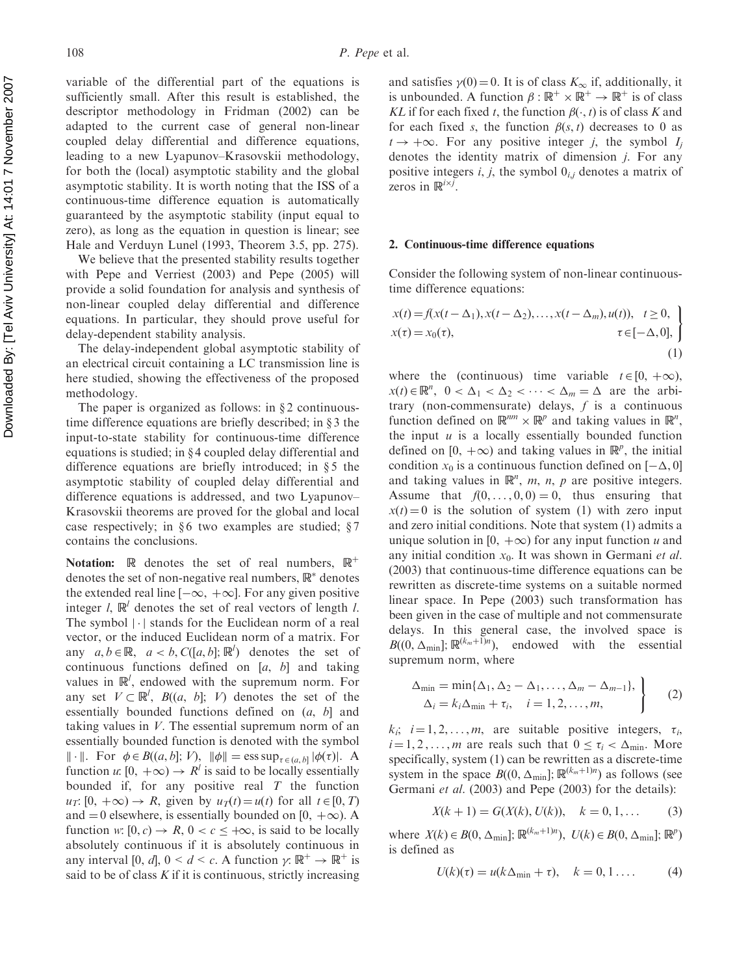variable of the differential part of the equations is sufficiently small. After this result is established, the descriptor methodology in Fridman (2002) can be adapted to the current case of general non-linear coupled delay differential and difference equations, leading to a new Lyapunov–Krasovskii methodology, for both the (local) asymptotic stability and the global asymptotic stability. It is worth noting that the ISS of a continuous-time difference equation is automatically guaranteed by the asymptotic stability (input equal to zero), as long as the equation in question is linear; see Hale and Verduyn Lunel (1993, Theorem 3.5, pp. 275).

We believe that the presented stability results together with Pepe and Verriest (2003) and Pepe (2005) will provide a solid foundation for analysis and synthesis of non-linear coupled delay differential and difference equations. In particular, they should prove useful for delay-dependent stability analysis.

The delay-independent global asymptotic stability of an electrical circuit containing a LC transmission line is here studied, showing the effectiveness of the proposed methodology.

The paper is organized as follows: in  $\S 2$  continuoustime difference equations are briefly described; in  $\S$ 3 the input-to-state stability for continuous-time difference equations is studied; in  $\S 4$  coupled delay differential and difference equations are briefly introduced; in  $\S$ 5 the asymptotic stability of coupled delay differential and difference equations is addressed, and two Lyapunov– Krasovskii theorems are proved for the global and local case respectively; in  $§6$  two examples are studied;  $§7$ contains the conclusions.

Notation:  $\mathbb R$  denotes the set of real numbers,  $\mathbb R^+$ denotes the set of non-negative real numbers,  $\mathbb{R}^*$  denotes the extended real line  $[-\infty, +\infty]$ . For any given positive integer l,  $\mathbb{R}^l$  denotes the set of real vectors of length l. The symbol  $|\cdot|$  stands for the Euclidean norm of a real vector, or the induced Euclidean norm of a matrix. For any  $a, b \in \mathbb{R}$ ,  $a < b$ ,  $C([a, b]; \mathbb{R}^l)$  denotes the set of continuous functions defined on  $[a, b]$  and taking values in  $\mathbb{R}^l$ , endowed with the supremum norm. For any set  $V \subset \mathbb{R}^l$ ,  $B((a, b]; V)$  denotes the set of the essentially bounded functions defined on (a, b] and taking values in  $V$ . The essential supremum norm of an essentially bounded function is denoted with the symbol  $\|\cdot\|$ . For  $\phi \in B((a, b]; V)$ ,  $\|\phi\| = \operatorname{ess} \operatorname{sup}_{\tau \in (a, b]} |\phi(\tau)|$ . A function u:  $[0, +\infty) \rightarrow R^l$  is said to be locally essentially bounded if, for any positive real  $T$  the function  $u_T: [0, +\infty) \to R$ , given by  $u_T(t) = u(t)$  for all  $t \in [0, T)$ and  $= 0$  elsewhere, is essentially bounded on [0,  $+\infty$ ). A function w:  $[0, c) \rightarrow R$ ,  $0 < c < +\infty$ , is said to be locally absolutely continuous if it is absolutely continuous in any interval [0, d],  $0 \le d \le c$ . A function  $\gamma: \mathbb{R}^+ \to \mathbb{R}^+$  is said to be of class  $K$  if it is continuous, strictly increasing and satisfies  $\gamma(0) = 0$ . It is of class  $K_{\infty}$  if, additionally, it is unbounded. A function  $\beta : \mathbb{R}^+ \times \mathbb{R}^+ \to \mathbb{R}^+$  is of class KL if for each fixed t, the function  $\beta(\cdot, t)$  is of class K and for each fixed s, the function  $\beta(s, t)$  decreases to 0 as  $t \rightarrow +\infty$ . For any positive integer *i*, the symbol *I<sub>i</sub>* denotes the identity matrix of dimension j. For any positive integers i, j, the symbol  $0_{i,j}$  denotes a matrix of zeros in  $\mathbb{R}^{i \times j}$ .

#### 2. Continuous-time difference equations

Consider the following system of non-linear continuoustime difference equations:

$$
x(t) = f(x(t - \Delta_1), x(t - \Delta_2), ..., x(t - \Delta_m), u(t)), \quad t \ge 0, x(\tau) = x_0(\tau), \qquad \tau \in [-\Delta, 0],
$$
\n(1)

where the (continuous) time variable  $t \in [0, +\infty)$ ,  $x(t) \in \mathbb{R}^n$ ,  $0 < \Delta_1 < \Delta_2 < \cdots < \Delta_m = \Delta$  are the arbitrary (non-commensurate) delays,  $f$  is a continuous function defined on  $\mathbb{R}^{nm} \times \mathbb{R}^{p}$  and taking values in  $\mathbb{R}^{n}$ , the input  $u$  is a locally essentially bounded function defined on [0,  $+\infty$ ) and taking values in  $\mathbb{R}^p$ , the initial condition  $x_0$  is a continuous function defined on  $[-\Delta, 0]$ and taking values in  $\mathbb{R}^n$ , m, n, p are positive integers. Assume that  $f(0, \ldots, 0, 0) = 0$ , thus ensuring that  $x(t) = 0$  is the solution of system (1) with zero input and zero initial conditions. Note that system (1) admits a unique solution in [0,  $+\infty$ ) for any input function u and any initial condition  $x_0$ . It was shown in Germani et al. (2003) that continuous-time difference equations can be rewritten as discrete-time systems on a suitable normed linear space. In Pepe (2003) such transformation has been given in the case of multiple and not commensurate delays. In this general case, the involved space is  $B((0, \Delta_{\min}); \mathbb{R}^{(k_m+1)n})$ , endowed with the essential supremum norm, where

$$
\Delta_{\min} = \min\{\Delta_1, \Delta_2 - \Delta_1, \dots, \Delta_m - \Delta_{m-1}\},\
$$
  
\n
$$
\Delta_i = k_i \Delta_{\min} + \tau_i, \quad i = 1, 2, \dots, m,
$$
 (2)

 $k_i$ ;  $i = 1, 2, \dots, m$ , are suitable positive integers,  $\tau_i$ ,  $i = 1, 2, \dots, m$  are reals such that  $0 \leq \tau_i < \Delta_{\min}$ . More specifically, system (1) can be rewritten as a discrete-time system in the space  $B((0, \Delta_{\min}); \mathbb{R}^{(k_m+1)n})$  as follows (see Germani et al. (2003) and Pepe (2003) for the details):

$$
X(k + 1) = G(X(k), U(k)), \quad k = 0, 1, ...
$$
 (3)

where  $X(k) \in B(0, \Delta_{\min}]$ ;  $\mathbb{R}^{(k_m+1)n}$ ,  $U(k) \in B(0, \Delta_{\min}]$ ;  $\mathbb{R}^p$ ) is defined as

$$
U(k)(\tau) = u(k\Delta_{\min} + \tau), \quad k = 0, 1 \dots \tag{4}
$$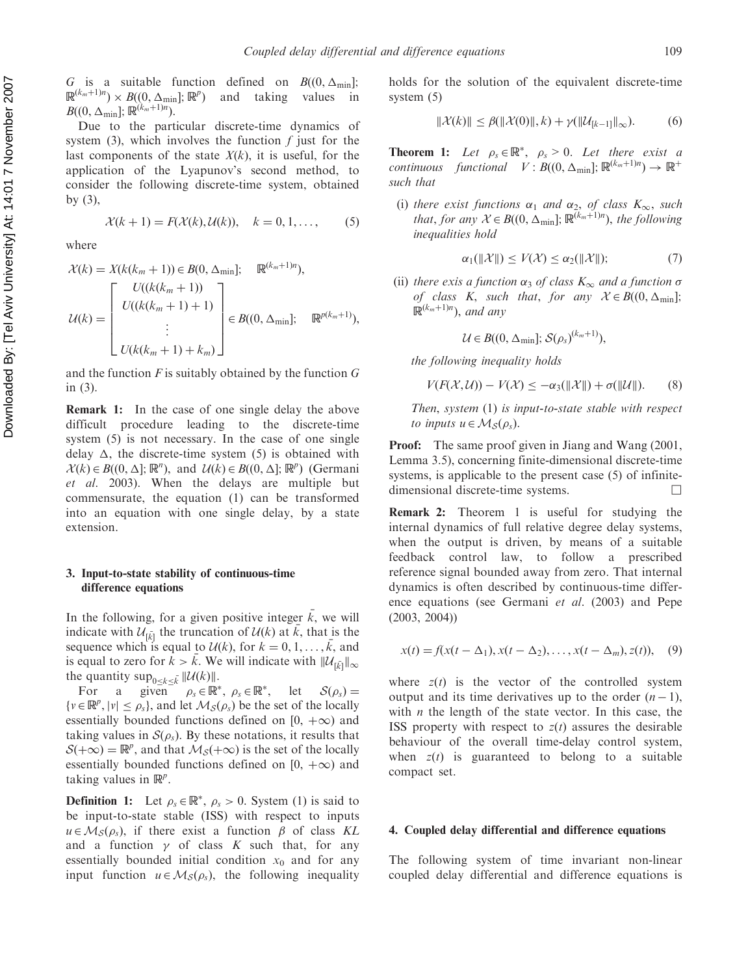G is a suitable function defined on  $B((0, \Delta_{\min});$  $\mathbb{R}^{(k_m+1)n}$  ×  $B((0, \Delta_{\min}); \mathbb{R}^p)$  and taking values in  $B((0,\Delta_{\min});{\mathbb R}^{(k_m+1)n}).$ 

Due to the particular discrete-time dynamics of system (3), which involves the function  $f$  just for the last components of the state  $X(k)$ , it is useful, for the application of the Lyapunov's second method, to consider the following discrete-time system, obtained by (3),

$$
\mathcal{X}(k+1) = F(\mathcal{X}(k), \mathcal{U}(k)), \quad k = 0, 1, \dots,
$$
 (5)

where

$$
\mathcal{X}(k) = X(k(k_m + 1)) \in B(0, \Delta_{\min}); \quad \mathbb{R}^{(k_m + 1)n}),
$$

$$
\mathcal{U}(k) = \begin{bmatrix} U((k(k_m + 1)) \\ U((k(k_m + 1) + 1) \\ \vdots \\ U(k(k_m + 1) + k_m) \end{bmatrix} \in B((0, \Delta_{\min}); \quad \mathbb{R}^{p(k_m + 1)}),
$$

and the function  $F$  is suitably obtained by the function  $G$ in (3).

Remark 1: In the case of one single delay the above difficult procedure leading to the discrete-time system (5) is not necessary. In the case of one single delay  $\Delta$ , the discrete-time system (5) is obtained with  $\mathcal{X}(k) \in B((0, \Delta]; \mathbb{R}^n)$ , and  $\mathcal{U}(k) \in B((0, \Delta]; \mathbb{R}^p)$  (Germani et al. 2003). When the delays are multiple but commensurate, the equation (1) can be transformed into an equation with one single delay, by a state extension.

# 3. Input-to-state stability of continuous-time difference equations

In the following, for a given positive integer  $\overline{k}$ , we will indicate with  $\mathcal{U}_{\bar{k}}$  the truncation of  $\mathcal{U}(k)$  at  $\bar{k}$ , that is the sequence which is equal to  $\mathcal{U}(k)$ , for  $k = 0, 1, \ldots, \overline{k}$ , and is equal to zero for  $k > k$ . We will indicate with  $||\mathcal{U}_{\tilde{[k]}}||_{\infty}$ the quantity  $\sup_{0 \le k \le \bar{k}} ||\mathcal{U}(k)||$ .

For a given  $\rho_s \in \mathbb{R}^*, \ \rho_s \in \mathbb{R}^*, \ \text{let } \mathcal{S}(\rho_s) =$  $\{v \in \mathbb{R}^p, |v| \le \rho_s\}$ , and let  $\mathcal{M}_{\mathcal{S}}(\rho_s)$  be the set of the locally essentially bounded functions defined on  $[0, +\infty)$  and taking values in  $S(\rho_s)$ . By these notations, it results that  $S(+\infty) = \mathbb{R}^p$ , and that  $\mathcal{M}_S(+\infty)$  is the set of the locally essentially bounded functions defined on  $[0, +\infty)$  and taking values in  $\mathbb{R}^p$ .

**Definition 1:** Let  $\rho_s \in \mathbb{R}^*$ ,  $\rho_s > 0$ . System (1) is said to be input-to-state stable (ISS) with respect to inputs  $u \in M_{\mathcal{S}}(\rho_s)$ , if there exist a function  $\beta$  of class KL and a function  $\gamma$  of class K such that, for any essentially bounded initial condition  $x_0$  and for any input function  $u \in M_S(\rho_s)$ , the following inequality holds for the solution of the equivalent discrete-time system (5)

$$
\|\mathcal{X}(k)\| \le \beta(\|\mathcal{X}(0)\|, k) + \gamma(\|\mathcal{U}_{[k-1]}\|_{\infty}).
$$
 (6)

**Theorem 1:** Let  $\rho_s \in \mathbb{R}^*$ ,  $\rho_s > 0$ . Let there exist a continuous functional  $V: B((0, \Delta_{\min}); \mathbb{R}^{(k_m+1)n}) \to \mathbb{R}^+$ such that

(i) there exist functions  $\alpha_1$  and  $\alpha_2$ , of class  $K_{\infty}$ , such that, for any  $\mathcal{X} \in B((0, \Delta_{\min}); \mathbb{R}^{(k_m+1)n})$ , the following inequalities hold

$$
\alpha_1(\|\mathcal{X}\|) \le V(\mathcal{X}) \le \alpha_2(\|\mathcal{X}\|); \tag{7}
$$

(ii) there exis a function  $\alpha_3$  of class  $K_{\infty}$  and a function  $\sigma$ of class K, such that, for any  $\mathcal{X} \in B((0, \Delta_{\min});$  $\mathbb{R}^{(k_m+1)n}$ ), and any

$$
\mathcal{U} \in B((0, \Delta_{\min}); \mathcal{S}(\rho_s)^{(k_m+1)}),
$$

the following inequality holds

$$
V(F(\mathcal{X}, \mathcal{U})) - V(\mathcal{X}) \le -\alpha_3(\|\mathcal{X}\|) + \sigma(\|\mathcal{U}\|). \tag{8}
$$

Then, system (1) is input-to-state stable with respect to inputs  $u \in M_s(\rho_s)$ .

Proof: The same proof given in Jiang and Wang (2001, Lemma 3.5), concerning finite-dimensional discrete-time systems, is applicable to the present case (5) of infinitedimensional discrete-time systems.

Remark 2: Theorem 1 is useful for studying the internal dynamics of full relative degree delay systems, when the output is driven, by means of a suitable feedback control law, to follow a prescribed reference signal bounded away from zero. That internal dynamics is often described by continuous-time difference equations (see Germani et al. (2003) and Pepe (2003, 2004))

$$
x(t) = f(x(t - \Delta_1), x(t - \Delta_2), \dots, x(t - \Delta_m), z(t)), \quad (9)
$$

where  $z(t)$  is the vector of the controlled system output and its time derivatives up to the order  $(n-1)$ , with  $n$  the length of the state vector. In this case, the ISS property with respect to  $z(t)$  assures the desirable behaviour of the overall time-delay control system, when  $z(t)$  is guaranteed to belong to a suitable compact set.

## 4. Coupled delay differential and difference equations

The following system of time invariant non-linear coupled delay differential and difference equations is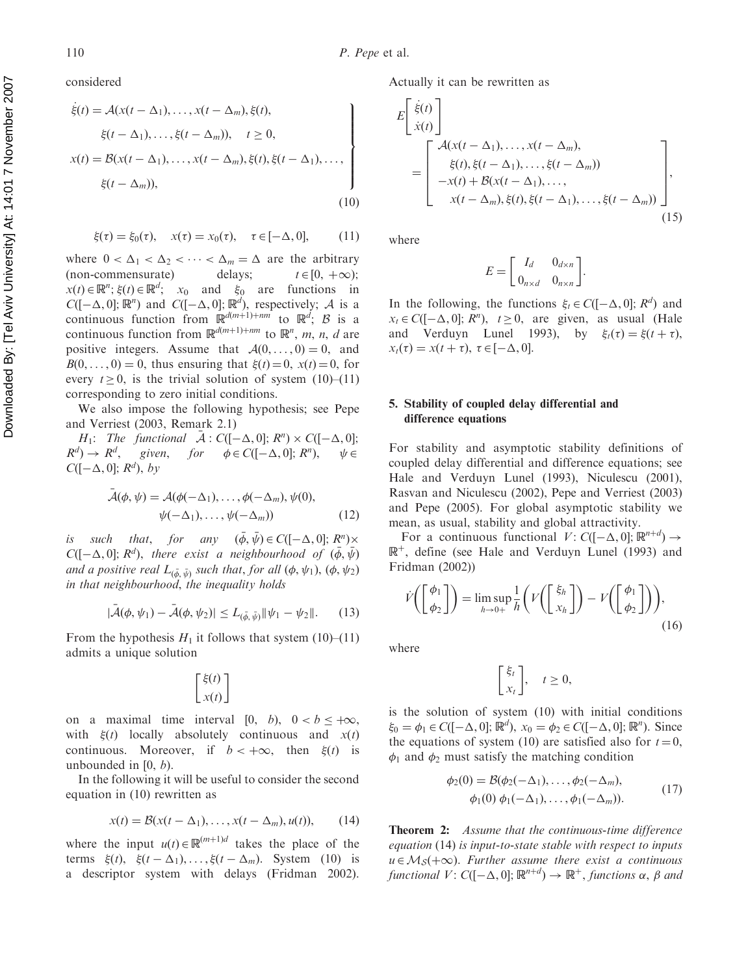considered

$$
\dot{\xi}(t) = \mathcal{A}(x(t - \Delta_1), \dots, x(t - \Delta_m), \xi(t),
$$
\n
$$
\xi(t - \Delta_1), \dots, \xi(t - \Delta_m)), \quad t \ge 0,
$$
\n
$$
x(t) = \mathcal{B}(x(t - \Delta_1), \dots, x(t - \Delta_m), \xi(t), \xi(t - \Delta_1), \dots, \xi(t - \Delta_m)),
$$
\n
$$
\xi(t - \Delta_m)),
$$
\n(10)

$$
\xi(\tau) = \xi_0(\tau), \quad x(\tau) = x_0(\tau), \quad \tau \in [-\Delta, 0],
$$
 (11)

where  $0 < \Delta_1 < \Delta_2 < \cdots < \Delta_m = \Delta$  are the arbitrary (non-commensurate) delays;  $t \in [0, +\infty);$  $x(t) \in \mathbb{R}^n$ ;  $\xi(t) \in \mathbb{R}^d$ ;  $x_0$  and  $\xi_0$  are functions in  $C([-\Delta, 0]; \mathbb{R}^n)$  and  $C([-\Delta, 0]; \mathbb{R}^d)$ , respectively; A is a continuous function from  $\mathbb{R}^{d(m+1)+nm}$  to  $\mathbb{R}^d$ ; B is a continuous function from  $\mathbb{R}^{d(m+1)+nm}$  to  $\mathbb{R}^n$ , m, n, d are positive integers. Assume that  $A(0, \ldots, 0) = 0$ , and  $B(0, \ldots, 0) = 0$ , thus ensuring that  $\xi(t) = 0$ ,  $x(t) = 0$ , for every  $t \ge 0$ , is the trivial solution of system (10)–(11) corresponding to zero initial conditions.

We also impose the following hypothesis; see Pepe and Verriest (2003, Remark 2.1)

 $H_1$ : The functional  $\bar{\mathcal{A}}$  :  $C([-\Delta, 0]; R^n) \times C([-\Delta, 0];$  $R^d$ )  $\rightarrow$   $R^d$ , given, for  $\phi \in C([-\Delta, 0]; R^n)$ ,  $\psi \in$  $C([-\Delta, 0]; R^d)$ , by

$$
\bar{\mathcal{A}}(\phi, \psi) = \mathcal{A}(\phi(-\Delta_1), \dots, \phi(-\Delta_m), \psi(0),
$$
  

$$
\psi(-\Delta_1), \dots, \psi(-\Delta_m))
$$
 (12)

is such that, for any  $(\bar{\phi}, \bar{\psi}) \in C([-\Delta, 0]; R^n) \times$  $C([-\Delta, 0]; R^d)$ , there exist a neighbourhood of  $(\bar{\phi}, \bar{\psi})$ and a positive real  $L_{(\bar{\phi},\bar{\psi})}$  such that, for all  $(\phi,\psi_1),$   $(\phi,\psi_2)$ in that neighbourhood, the inequality holds

$$
|\bar{\mathcal{A}}(\phi,\psi_1) - \bar{\mathcal{A}}(\phi,\psi_2)| \le L_{(\bar{\phi},\bar{\psi})} \|\psi_1 - \psi_2\|. \qquad (13)
$$

From the hypothesis  $H_1$  it follows that system (10)–(11) admits a unique solution

$$
\begin{bmatrix} \xi(t) \\ x(t) \end{bmatrix}
$$

on a maximal time interval  $[0, b)$ ,  $0 < b < +\infty$ , with  $\xi(t)$  locally absolutely continuous and  $x(t)$ continuous. Moreover, if  $b < +\infty$ , then  $\xi(t)$  is unbounded in  $[0, b)$ .

In the following it will be useful to consider the second equation in (10) rewritten as

$$
x(t) = \mathcal{B}(x(t - \Delta_1), \dots, x(t - \Delta_m), u(t)), \qquad (14)
$$

where the input  $u(t) \in \mathbb{R}^{(m+1)d}$  takes the place of the terms  $\xi(t)$ ,  $\xi(t - \Delta_1)$ , ...,  $\xi(t - \Delta_m)$ . System (10) is a descriptor system with delays (Fridman 2002).

Actually it can be rewritten as

$$
E\left[\begin{array}{c}\n\dot{\xi}(t) \\
\dot{x}(t)\n\end{array}\right]
$$
\n
$$
= \left[\begin{array}{c}\n\mathcal{A}(x(t-\Delta_1),\ldots,x(t-\Delta_m), \\
\dot{\xi}(t),\dot{\xi}(t-\Delta_1),\ldots,\dot{\xi}(t-\Delta_m)) \\
-x(t) + \mathcal{B}(x(t-\Delta_1),\ldots, \\
x(t-\Delta_m),\dot{\xi}(t),\dot{\xi}(t-\Delta_1),\ldots,\dot{\xi}(t-\Delta_m))\n\end{array}\right],
$$
\n(15)

where

$$
E = \begin{bmatrix} I_d & 0_{d \times n} \\ 0_{n \times d} & 0_{n \times n} \end{bmatrix}.
$$

In the following, the functions  $\xi_t \in C([-\Delta, 0]; R^d)$  and  $x_t \in C([-\Delta, 0]; R^n)$ ,  $t \ge 0$ , are given, as usual (Hale and Verduyn Lunel 1993), by  $\xi_t(\tau) = \xi(t + \tau)$ ,  $x_t(\tau) = x(t + \tau), \ \tau \in [-\Delta, 0].$ 

## 5. Stability of coupled delay differential and difference equations

For stability and asymptotic stability definitions of coupled delay differential and difference equations; see Hale and Verduyn Lunel (1993), Niculescu (2001), Rasvan and Niculescu (2002), Pepe and Verriest (2003) and Pepe (2005). For global asymptotic stability we mean, as usual, stability and global attractivity.

For a continuous functional  $V: C([-\Delta, 0]; \mathbb{R}^{n+d}) \rightarrow$  $\mathbb{R}^+$ , define (see Hale and Verduyn Lunel (1993) and Fridman (2002))

$$
\dot{V}\left(\begin{bmatrix} \phi_1\\ \phi_2 \end{bmatrix}\right) = \limsup_{h \to 0+} \frac{1}{h} \left(V\left(\begin{bmatrix} \xi_h\\ x_h \end{bmatrix}\right) - V\left(\begin{bmatrix} \phi_1\\ \phi_2 \end{bmatrix}\right)\right),\tag{16}
$$

where

$$
\begin{bmatrix} \xi_t \\ x_t \end{bmatrix}, \quad t \ge 0,
$$

is the solution of system (10) with initial conditions  $\xi_0 = \phi_1 \in C([-\Delta, 0]; \mathbb{R}^d), x_0 = \phi_2 \in C([-\Delta, 0]; \mathbb{R}^n)$ . Since the equations of system (10) are satisfied also for  $t = 0$ ,  $\phi_1$  and  $\phi_2$  must satisfy the matching condition

$$
\phi_2(0) = \mathcal{B}(\phi_2(-\Delta_1), \dots, \phi_2(-\Delta_m), \n\phi_1(0) \phi_1(-\Delta_1), \dots, \phi_1(-\Delta_m)).
$$
\n(17)

Theorem 2: Assume that the continuous-time difference equation (14) is input-to-state stable with respect to inputs  $u \in M<sub>S</sub>(+\infty)$ . Further assume there exist a continuous functional  $V: C([-\Delta, 0]; \mathbb{R}^{n+d}) \to \mathbb{R}^+,$  functions  $\alpha, \beta$  and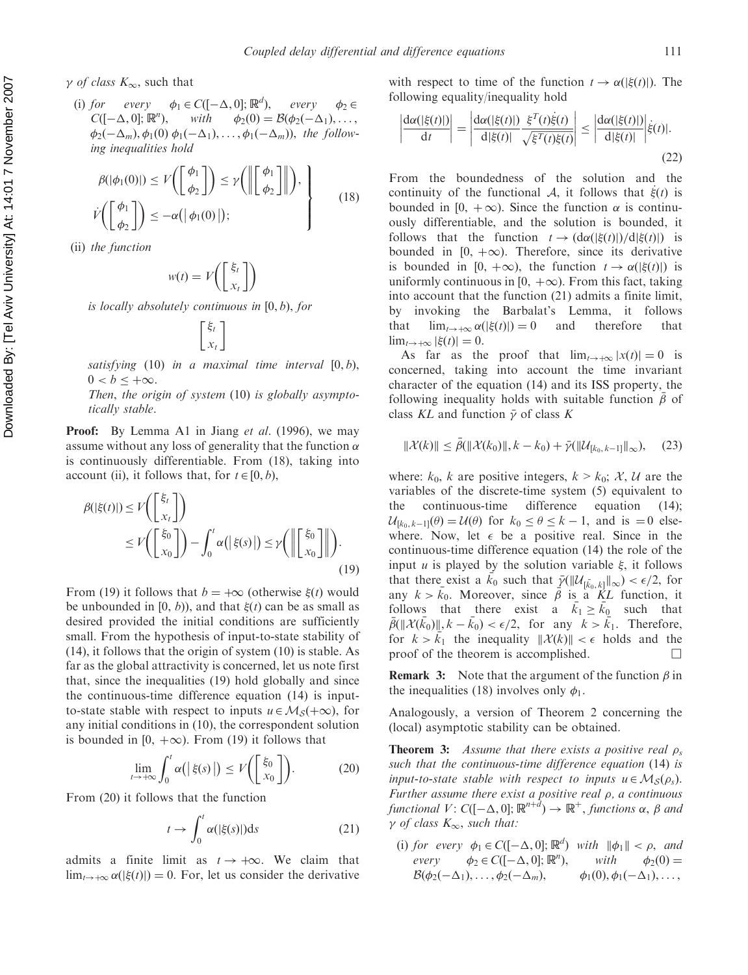$\gamma$  of class  $K_{\infty}$ , such that

(i) for every  $\phi_1 \in C([-\Delta, 0]; \mathbb{R}^d),$ every  $\phi_2 \in$  $C([-\Delta, 0]; \mathbb{R}^n)$ ), with  $\phi_2(0) = \mathcal{B}(\phi_2(-\Delta_1), \ldots,$  $\phi_2(-\Delta_m), \phi_1(0) \phi_1(-\Delta_1), \ldots, \phi_1(-\Delta_m)$ , the following inequalities hold

$$
\beta(|\phi_1(0)|) \le V\left(\begin{bmatrix} \phi_1 \\ \phi_2 \end{bmatrix}\right) \le \gamma\left(\left\|\begin{bmatrix} \phi_1 \\ \phi_2 \end{bmatrix}\right\|\right), \ \dot{\gamma}\left(\begin{bmatrix} \phi_1 \\ \phi_2 \end{bmatrix}\right)\le -\alpha(|\phi_1(0)|); \tag{18}
$$

(ii) the function

$$
w(t) = V\left(\begin{bmatrix} \xi_t \\ x_t \end{bmatrix}\right)
$$

is locally absolutely continuous in [0, b), for

$$
\left[\begin{matrix} \xi_t \\ x_t \end{matrix}\right]
$$

satisfying  $(10)$  in a maximal time interval  $[0, b)$ ,  $0 < b < +\infty$ .

Then, the origin of system (10) is globally asymptotically stable.

**Proof:** By Lemma A1 in Jiang *et al.* (1996), we may assume without any loss of generality that the function  $\alpha$ is continuously differentiable. From (18), taking into account (ii), it follows that, for  $t \in [0, b)$ ,

$$
\beta(|\xi(t)|) \le V\left(\begin{bmatrix} \xi_t \\ x_t \end{bmatrix}\right)
$$
  
\n
$$
\le V\left(\begin{bmatrix} \xi_0 \\ x_0 \end{bmatrix}\right) - \int_0^t \alpha(|\xi(s)|) \le \gamma\left(\left\|\begin{bmatrix} \xi_0 \\ x_0 \end{bmatrix}\right\|\right).
$$
\n(19)

From (19) it follows that  $b = +\infty$  (otherwise  $\xi(t)$  would be unbounded in [0, b)), and that  $\xi(t)$  can be as small as desired provided the initial conditions are sufficiently small. From the hypothesis of input-to-state stability of (14), it follows that the origin of system (10) is stable. As far as the global attractivity is concerned, let us note first that, since the inequalities (19) hold globally and since the continuous-time difference equation (14) is inputto-state stable with respect to inputs  $u \in M_S(+\infty)$ , for any initial conditions in (10), the correspondent solution is bounded in [0,  $+\infty$ ). From (19) it follows that

$$
\lim_{t \to +\infty} \int_0^t \alpha(|\xi(s)|) \le V\bigg(\bigg[\frac{\xi_0}{x_0}\bigg]\bigg). \tag{20}
$$

From (20) it follows that the function

$$
t \to \int_0^t \alpha(|\xi(s)|) \mathrm{d}s \tag{21}
$$

admits a finite limit as  $t \to +\infty$ . We claim that  $\lim_{t\to+\infty} \alpha(|\xi(t)|) = 0$ . For, let us consider the derivative with respect to time of the function  $t \to \alpha(|\xi(t)|)$ . The following equality/inequality hold

$$
\left|\frac{d\alpha(|\xi(t)|)}{dt}\right| = \left|\frac{d\alpha(|\xi(t)|)}{d|\xi(t)|}\frac{\xi^T(t)\dot{\xi}(t)}{\sqrt{\xi^T(t)\xi(t)}}\right| \le \left|\frac{d\alpha(|\xi(t)|)}{d|\xi(t)|}\right|\dot{\xi}(t)|.
$$
\n(22)

From the boundedness of the solution and the continuity of the functional A, it follows that  $\dot{\xi}(t)$  is bounded in [0,  $+\infty$ ). Since the function  $\alpha$  is continuously differentiable, and the solution is bounded, it follows that the function  $t \to (d\alpha(|\xi(t)|)/d|\xi(t)|)$  is bounded in  $[0, +\infty)$ . Therefore, since its derivative is bounded in [0, + $\infty$ ), the function  $t \to \alpha(|\xi(t)|)$  is uniformly continuous in [0,  $+\infty$ ). From this fact, taking into account that the function (21) admits a finite limit, by invoking the Barbalat's Lemma, it follows that  $\lim_{t\to +\infty} \alpha(|\xi(t)|) = 0$  and therefore that  $\lim_{t\to+\infty} |\xi(t)| = 0.$ 

As far as the proof that  $\lim_{t\to+\infty} |x(t)| = 0$  is concerned, taking into account the time invariant character of the equation (14) and its ISS property, the following inequality holds with suitable function  $\bar{\beta}$  of class KL and function  $\bar{\gamma}$  of class K

$$
\|\mathcal{X}(k)\| \le \bar{\beta}(\|\mathcal{X}(k_0)\|, k - k_0) + \bar{\gamma}(\|\mathcal{U}_{[k_0, k-1]}\|_{\infty}), \quad (23)
$$

where:  $k_0$ , k are positive integers,  $k > k_0$ ; X, U are the variables of the discrete-time system (5) equivalent to the continuous-time difference equation (14);  $\mathcal{U}_{[k_0, k-1]}(\theta) = \mathcal{U}(\theta)$  for  $k_0 \le \theta \le k - 1$ , and is  $= 0$  elsewhere. Now, let  $\epsilon$  be a positive real. Since in the continuous-time difference equation (14) the role of the input *u* is played by the solution variable  $\xi$ , it follows that there exist a  $\vec{k}_0$  such that  $\vec{y}(\|\mathcal{U}_{[\bar{k}_0, k]}\|_{\infty}) < \epsilon/2$ , for any  $k > \bar{k}_0$ . Moreover, since  $\overrightarrow{\beta}$  is a KL function, it follows that there exist a  $\bar{k}_1 \ge \bar{k}_0$  such that  $\bar{\beta}(\|\mathcal{X}(\bar{k}_0)\|, k - \bar{k}_0) < \epsilon/2$ , for any  $k > \bar{k}_1$ . Therefore, for  $k > k_1$  the inequality  $\|\mathcal{X}(k)\| < \epsilon$  holds and the proof of the theorem is accomplished.  $\Box$ 

**Remark 3:** Note that the argument of the function  $\beta$  in the inequalities (18) involves only  $\phi_1$ .

Analogously, a version of Theorem 2 concerning the (local) asymptotic stability can be obtained.

**Theorem 3:** Assume that there exists a positive real  $\rho_s$ such that the continuous-time difference equation (14) is input-to-state stable with respect to inputs  $u \in M_S(\rho_s)$ . Further assume there exist a positive real  $\rho$ , a continuous functional  $V: C([-\Delta, 0]; \mathbb{R}^{n+\overline{d}}) \to \mathbb{R}^+,$  functions  $\alpha, \beta$  and  $\gamma$  of class  $K_{\infty}$ , such that:

(i) for every  $\phi_1 \in C([-\Delta, 0]; \mathbb{R}^d)$  with  $\|\phi_1\| < \rho$ , and every  $\phi_2 \in C([-\Delta, 0]; \mathbb{R}^n)$ with  $\phi_2(0) =$  $\mathcal{B}(\phi_2(-\Delta_1),\ldots,\phi_2( \Delta_m$ ),  $\phi_1(0), \phi_1(-\Delta_1), \ldots,$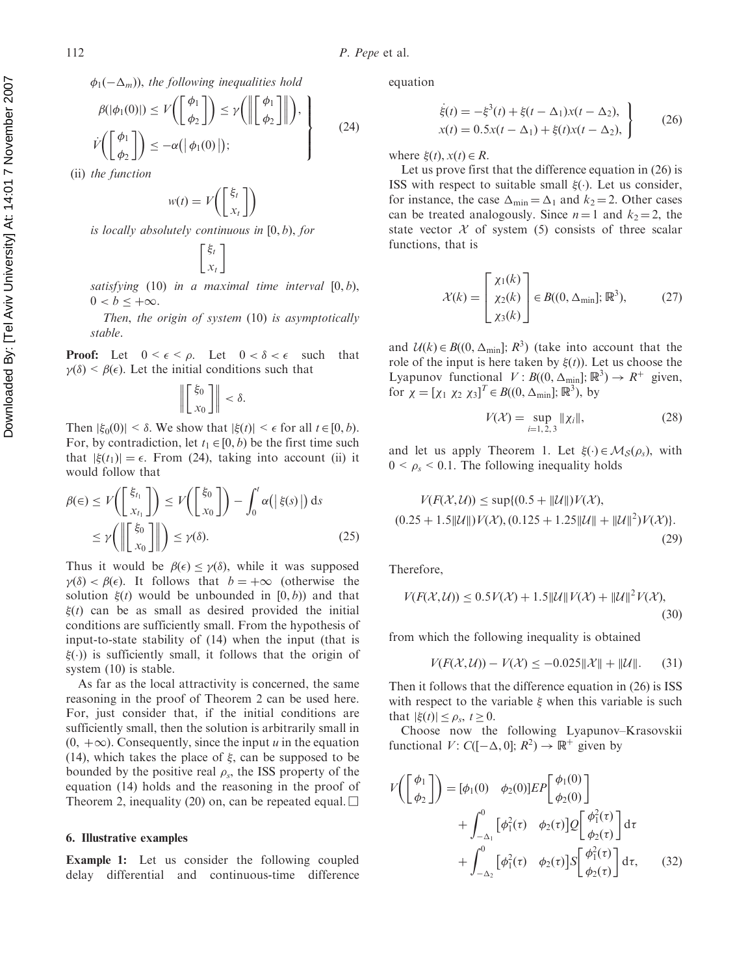$$
\phi_1(-\Delta_m)), \text{ the following inequalities hold}
$$
\n
$$
\beta(|\phi_1(0)|) \le V\left(\begin{bmatrix} \phi_1 \\ \phi_2 \end{bmatrix}\right) \le \gamma\left(\left\|\begin{bmatrix} \phi_1 \\ \phi_2 \end{bmatrix}\right\|\right),
$$
\n
$$
\dot{V}\left(\begin{bmatrix} \phi_1 \\ \phi_2 \end{bmatrix}\right) \le -\alpha(|\phi_1(0)|);
$$
\n(24)

(ii) the function

$$
w(t) = V\left(\begin{bmatrix} \xi_t \\ x_t \end{bmatrix}\right)
$$

is locally absolutely continuous in [0, b), for

$$
\begin{bmatrix} \xi_t \\ x_t \end{bmatrix}
$$

satisfying  $(10)$  in a maximal time interval  $[0, b)$ ,  $0 < b < +\infty$ .

Then, the origin of system (10) is asymptotically stable.

**Proof:** Let  $0 \leq \epsilon \leq \rho$ . Let  $0 \leq \delta \leq \epsilon$  such that  $\gamma(\delta) < \beta(\epsilon)$ . Let the initial conditions such that

$$
\left\| \begin{bmatrix} \xi_0 \\ x_0 \end{bmatrix} \right\| < \delta.
$$

Then  $|\xi_0(0)| < \delta$ . We show that  $|\xi(t)| < \epsilon$  for all  $t \in [0, b)$ . For, by contradiction, let  $t_1 \in [0, b)$  be the first time such that  $|\xi(t_1)| = \epsilon$ . From (24), taking into account (ii) it would follow that

$$
\beta(\epsilon) \le V\left(\begin{bmatrix} \xi_{t_1} \\ x_{t_1} \end{bmatrix}\right) \le V\left(\begin{bmatrix} \xi_0 \\ x_0 \end{bmatrix}\right) - \int_0^t \alpha(|\xi(s)|) ds
$$
  
\n
$$
\le V\left(\left\|\begin{bmatrix} \xi_0 \\ x_0 \end{bmatrix}\right\|\right) \le \gamma(\delta). \tag{25}
$$

Thus it would be  $\beta(\epsilon) \leq \gamma(\delta)$ , while it was supposed  $\gamma(\delta) < \beta(\epsilon)$ . It follows that  $b = +\infty$  (otherwise the solution  $\xi(t)$  would be unbounded in  $[0, b)$  and that  $\xi(t)$  can be as small as desired provided the initial conditions are sufficiently small. From the hypothesis of input-to-state stability of (14) when the input (that is  $\xi(.)$  is sufficiently small, it follows that the origin of system (10) is stable.

As far as the local attractivity is concerned, the same reasoning in the proof of Theorem 2 can be used here. For, just consider that, if the initial conditions are sufficiently small, then the solution is arbitrarily small in  $(0, +\infty)$ . Consequently, since the input u in the equation (14), which takes the place of  $\xi$ , can be supposed to be bounded by the positive real  $\rho_s$ , the ISS property of the equation (14) holds and the reasoning in the proof of Theorem 2, inequality (20) on, can be repeated equal.  $\square$ 

#### 6. Illustrative examples

Example 1: Let us consider the following coupled delay differential and continuous-time difference equation

$$
\dot{\xi}(t) = -\xi^3(t) + \xi(t - \Delta_1)x(t - \Delta_2),
$$
  
\n
$$
x(t) = 0.5x(t - \Delta_1) + \xi(t)x(t - \Delta_2),
$$
\n(26)

where  $\xi(t)$ ,  $x(t) \in R$ .

Let us prove first that the difference equation in (26) is ISS with respect to suitable small  $\xi(\cdot)$ . Let us consider, for instance, the case  $\Delta_{\min} = \Delta_1$  and  $k_2 = 2$ . Other cases can be treated analogously. Since  $n = 1$  and  $k_2 = 2$ , the state vector  $X$  of system (5) consists of three scalar functions, that is

$$
\mathcal{X}(k) = \begin{bmatrix} \chi_1(k) \\ \chi_2(k) \\ \chi_3(k) \end{bmatrix} \in B((0, \Delta_{\min}]; \mathbb{R}^3), \quad (27)
$$

and  $U(k) \in B((0, \Delta_{\min}); R^3)$  (take into account that the role of the input is here taken by  $\xi(t)$ ). Let us choose the Lyapunov functional  $V: B((0, \Delta_{\min}); \mathbb{R}^3) \to R^+$  given, for  $\chi = [\chi_1 \chi_2 \chi_3]^T \in B((0, \Delta_{\min}); \mathbb{R}^3)$ , by

$$
V(\mathcal{X}) = \sup_{i=1,2,3} \|\chi_i\|,\tag{28}
$$

and let us apply Theorem 1. Let  $\xi(\cdot) \in \mathcal{M}_{S}(\rho_{s})$ , with  $0 < \rho_s < 0.1$ . The following inequality holds

$$
V(F(X, U)) \le \sup\{(0.5 + ||U||)V(X),
$$
  
(0.25 + 1.5||U||)V(X), (0.125 + 1.25||U|| + ||U||<sup>2</sup>)V(X)}.(29)

Therefore,

$$
V(F(X, \mathcal{U})) \le 0.5V(X) + 1.5\|\mathcal{U}\|V(X) + \|\mathcal{U}\|^2 V(X),
$$
\n(30)

from which the following inequality is obtained

$$
V(F(\mathcal{X}, \mathcal{U})) - V(\mathcal{X}) \le -0.025 \|\mathcal{X}\| + \|\mathcal{U}\|.
$$
 (31)

Then it follows that the difference equation in (26) is ISS with respect to the variable  $\xi$  when this variable is such that  $|\xi(t)| < \rho_s$ ,  $t > 0$ .

Choose now the following Lyapunov–Krasovskii functional  $V: C([-\Delta, 0]; R^2) \to \mathbb{R}^+$  given by

$$
V\left(\begin{bmatrix} \phi_1 \\ \phi_2 \end{bmatrix}\right) = [\phi_1(0) \quad \phi_2(0)]EP\begin{bmatrix} \phi_1(0) \\ \phi_2(0) \end{bmatrix} + \int_{-\Delta_1}^0 [\phi_1^2(\tau) \quad \phi_2(\tau)]Q\begin{bmatrix} \phi_1^2(\tau) \\ \phi_2(\tau) \end{bmatrix} d\tau + \int_{-\Delta_2}^0 [\phi_1^2(\tau) \quad \phi_2(\tau)]S\begin{bmatrix} \phi_1^2(\tau) \\ \phi_2(\tau) \end{bmatrix} d\tau, \qquad (32)
$$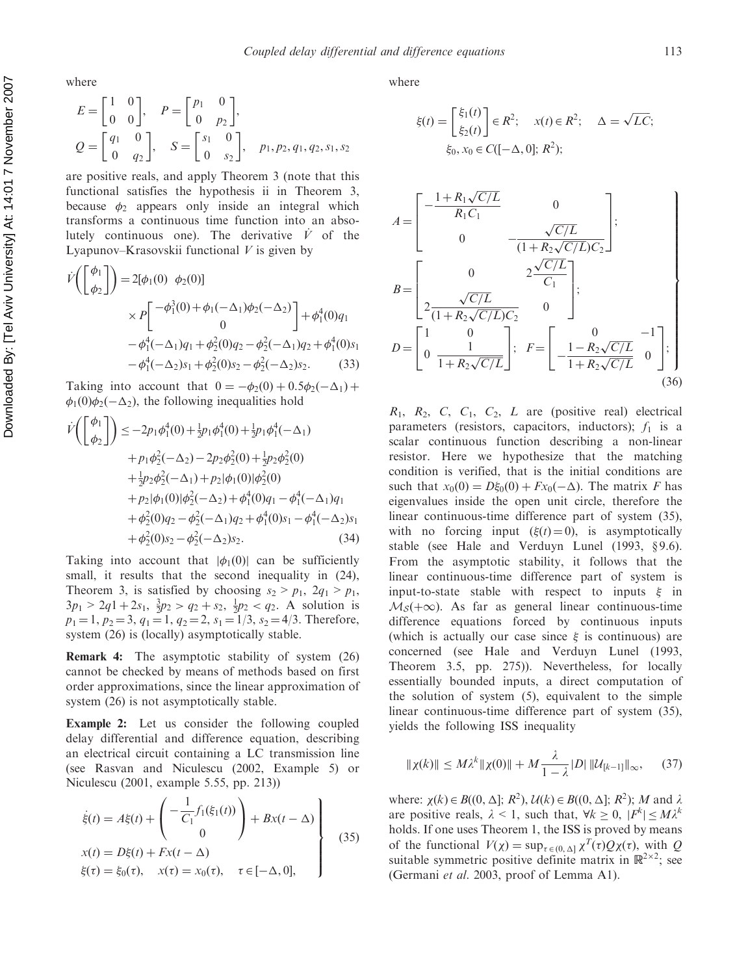where

$$
E = \begin{bmatrix} 1 & 0 \\ 0 & 0 \end{bmatrix}, \quad P = \begin{bmatrix} p_1 & 0 \\ 0 & p_2 \end{bmatrix},
$$
  
\n
$$
Q = \begin{bmatrix} q_1 & 0 \\ 0 & q_2 \end{bmatrix}, \quad S = \begin{bmatrix} s_1 & 0 \\ 0 & s_2 \end{bmatrix}, \quad p_1, p_2, q_1, q_2, s_1, s_2
$$

are positive reals, and apply Theorem 3 (note that this functional satisfies the hypothesis ii in Theorem 3, because  $\phi_2$  appears only inside an integral which transforms a continuous time function into an absolutely continuous one). The derivative  $\dot{V}$  of the Lyapunov–Krasovskii functional  $V$  is given by

$$
\dot{V}\left(\begin{bmatrix} \phi_1 \\ \phi_2 \end{bmatrix}\right) = 2[\phi_1(0) \ \phi_2(0)]
$$
\n
$$
\times P\begin{bmatrix} -\phi_1^3(0) + \phi_1(-\Delta_1)\phi_2(-\Delta_2) \\ 0 \end{bmatrix} + \phi_1^4(0)q_1
$$
\n
$$
-\phi_1^4(-\Delta_1)q_1 + \phi_2^2(0)q_2 - \phi_2^2(-\Delta_1)q_2 + \phi_1^4(0)s_1
$$
\n
$$
-\phi_1^4(-\Delta_2)s_1 + \phi_2^2(0)s_2 - \phi_2^2(-\Delta_2)s_2. \tag{33}
$$

Taking into account that  $0 = -\phi_2(0) + 0.5\phi_2(-\Delta_1) +$  $\phi_1(0)\phi_2(-\Delta_2)$ , the following inequalities hold

$$
\dot{V}\left(\begin{bmatrix} \phi_1 \\ \phi_2 \end{bmatrix}\right) \le -2p_1\phi_1^4(0) + \frac{1}{2}p_1\phi_1^4(0) + \frac{1}{2}p_1\phi_1^4(-\Delta_1) \n+ p_1\phi_2^2(-\Delta_2) - 2p_2\phi_2^2(0) + \frac{1}{2}p_2\phi_2^2(0) \n+ \frac{1}{2}p_2\phi_2^2(-\Delta_1) + p_2|\phi_1(0)|\phi_2^2(0) \n+ p_2|\phi_1(0)|\phi_2^2(-\Delta_2) + \phi_1^4(0)q_1 - \phi_1^4(-\Delta_1)q_1 \n+ \phi_2^2(0)q_2 - \phi_2^2(-\Delta_1)q_2 + \phi_1^4(0)s_1 - \phi_1^4(-\Delta_2)s_1 \n+ \phi_2^2(0)s_2 - \phi_2^2(-\Delta_2)s_2.
$$
\n(34)

Taking into account that  $|\phi_1(0)|$  can be sufficiently small, it results that the second inequality in  $(24)$ , Theorem 3, is satisfied by choosing  $s_2 > p_1$ ,  $2q_1 > p_1$ ,  $3p_1 > 2q_1 + 2s_1$ ,  $\frac{3}{2}p_2 > q_2 + s_2$ ,  $\frac{1}{2}p_2 < q_2$ . A solution is  $p_1 = 1$ ,  $p_2 = 3$ ,  $q_1 = 1$ ,  $q_2 = 2$ ,  $s_1 = 1/3$ ,  $s_2 = 4/3$ . Therefore, system (26) is (locally) asymptotically stable.

Remark 4: The asymptotic stability of system (26) cannot be checked by means of methods based on first order approximations, since the linear approximation of system (26) is not asymptotically stable.

Example 2: Let us consider the following coupled delay differential and difference equation, describing an electrical circuit containing a LC transmission line (see Rasvan and Niculescu (2002, Example 5) or Niculescu (2001, example 5.55, pp. 213))

$$
\begin{aligned}\n\dot{\xi}(t) &= A\xi(t) + \begin{pmatrix} -\frac{1}{C_1}f_1(\xi_1(t)) \\ 0 \end{pmatrix} + Bx(t - \Delta) \\
x(t) &= D\xi(t) + Fx(t - \Delta) \\
\xi(\tau) &= \xi_0(\tau), \quad x(\tau) = x_0(\tau), \quad \tau \in [-\Delta, 0],\n\end{aligned}
$$
\n(35)

where

$$
\xi(t) = \begin{bmatrix} \xi_1(t) \\ \xi_2(t) \end{bmatrix} \in R^2; \quad x(t) \in R^2; \quad \Delta = \sqrt{LC};
$$
  

$$
\xi_0, x_0 \in C([-\Delta, 0]; R^2);
$$

$$
A = \begin{bmatrix} -\frac{1 + R_1 \sqrt{C/L}}{R_1 C_1} & 0 \\ 0 & -\frac{\sqrt{C/L}}{(1 + R_2 \sqrt{C/L}) C_2} \end{bmatrix};
$$
  
\n
$$
B = \begin{bmatrix} 0 & 2\frac{\sqrt{C/L}}{C_1} \\ 2\frac{\sqrt{C/L}}{(1 + R_2 \sqrt{C/L}) C_2} & 0 \end{bmatrix};
$$
  
\n
$$
D = \begin{bmatrix} 1 & 0 \\ 0 & \frac{1}{1 + R_2 \sqrt{C/L}} \end{bmatrix}; \quad F = \begin{bmatrix} 0 & -1 \\ -\frac{1 - R_2 \sqrt{C/L}}{1 + R_2 \sqrt{C/L}} & 0 \end{bmatrix};
$$
  
\n(36)

 $R_1$ ,  $R_2$ ,  $C$ ,  $C_1$ ,  $C_2$ ,  $L$  are (positive real) electrical parameters (resistors, capacitors, inductors);  $f_1$  is a scalar continuous function describing a non-linear resistor. Here we hypothesize that the matching condition is verified, that is the initial conditions are such that  $x_0(0) = D\xi_0(0) + Fx_0(-\Delta)$ . The matrix F has eigenvalues inside the open unit circle, therefore the linear continuous-time difference part of system (35), with no forcing input  $(\xi(t)=0)$ , is asymptotically stable (see Hale and Verduyn Lunel  $(1993, \S9.6)$ . From the asymptotic stability, it follows that the linear continuous-time difference part of system is input-to-state stable with respect to inputs  $\xi$  in  $M<sub>S</sub>(+\infty)$ . As far as general linear continuous-time difference equations forced by continuous inputs (which is actually our case since  $\xi$  is continuous) are concerned (see Hale and Verduyn Lunel (1993, Theorem 3.5, pp. 275)). Nevertheless, for locally essentially bounded inputs, a direct computation of the solution of system (5), equivalent to the simple linear continuous-time difference part of system (35), yields the following ISS inequality

$$
\|\chi(k)\| \le M\lambda^k \|\chi(0)\| + M \frac{\lambda}{1-\lambda} |D| \|\mathcal{U}_{[k-1]}\|_{\infty}, \quad (37)
$$

where:  $\chi(k) \in B((0, \Delta); R^2), \mathcal{U}(k) \in B((0, \Delta); R^2); M$  and  $\lambda$ are positive reals,  $\lambda < 1$ , such that,  $\forall k \geq 0$ ,  $|F^k| \leq M \lambda^k$ holds. If one uses Theorem 1, the ISS is proved by means of the functional  $V(\chi) = \sup_{\tau \in (0, \Delta]} \chi^T(\tau) Q \chi(\tau)$ , with Q suitable symmetric positive definite matrix in  $\mathbb{R}^{2\times 2}$ ; see (Germani et al. 2003, proof of Lemma A1).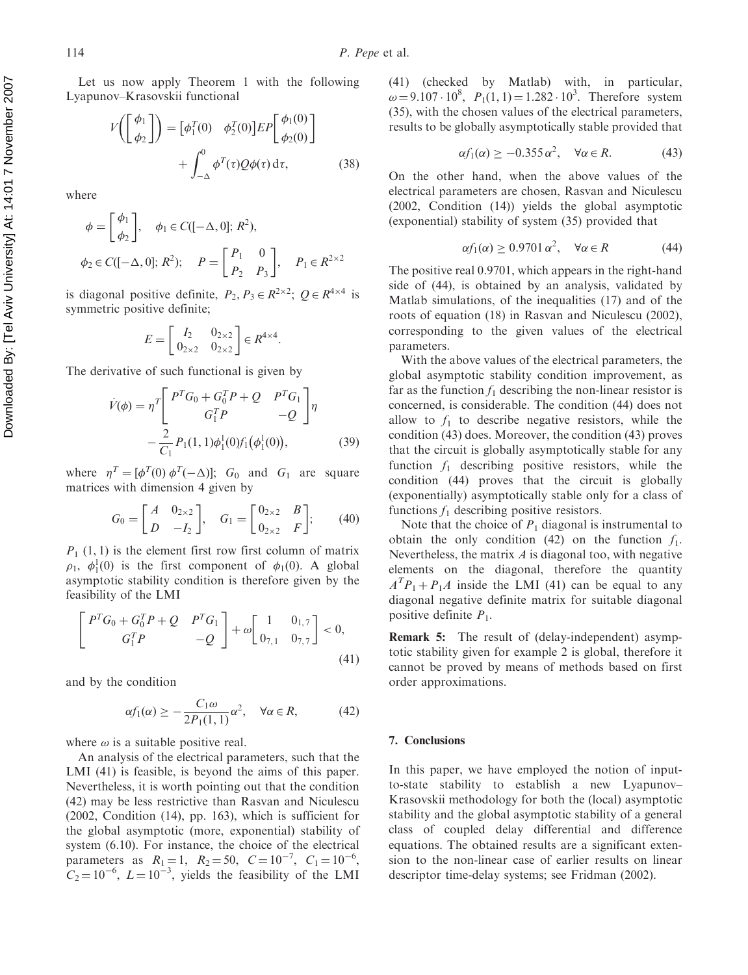Let us now apply Theorem 1 with the following Lyapunov–Krasovskii functional

$$
V\left(\begin{bmatrix} \phi_1 \\ \phi_2 \end{bmatrix}\right) = \begin{bmatrix} \phi_1^T(0) & \phi_2^T(0) \end{bmatrix} EP \begin{bmatrix} \phi_1(0) \\ \phi_2(0) \end{bmatrix} + \int_{-\Delta}^0 \phi^T(\tau) Q\phi(\tau) d\tau, \qquad (38)
$$

where

$$
\phi = \begin{bmatrix} \phi_1 \\ \phi_2 \end{bmatrix}, \quad \phi_1 \in C([-\Delta, 0]; R^2),
$$
  

$$
\phi_2 \in C([-\Delta, 0]; R^2); \quad P = \begin{bmatrix} P_1 & 0 \\ P_2 & P_3 \end{bmatrix}, \quad P_1 \in R^{2 \times 2}
$$

is diagonal positive definite,  $P_2, P_3 \in R^{2 \times 2}$ ;  $Q \in R^{4 \times 4}$  is symmetric positive definite;

$$
E = \begin{bmatrix} I_2 & 0_{2 \times 2} \\ 0_{2 \times 2} & 0_{2 \times 2} \end{bmatrix} \in R^{4 \times 4}.
$$

The derivative of such functional is given by

$$
\dot{V}(\phi) = \eta^T \left[ \begin{array}{cc} P^T G_0 + G_0^T P + Q & P^T G_1 \\ G_1^T P & -Q \end{array} \right] \eta
$$

$$
- \frac{2}{C_1} P_1(1, 1) \phi_1^1(0) f_1(\phi_1^1(0)), \tag{39}
$$

where  $\eta^T = [\phi^T(0) \phi^T(-\Delta)]$ ;  $G_0$  and  $G_1$  are square matrices with dimension 4 given by

$$
G_0 = \begin{bmatrix} A & 0_{2 \times 2} \\ D & -I_2 \end{bmatrix}, \quad G_1 = \begin{bmatrix} 0_{2 \times 2} & B \\ 0_{2 \times 2} & F \end{bmatrix}; \tag{40}
$$

 $P_1$  (1, 1) is the element first row first column of matrix  $\rho_1$ ,  $\phi_1^1(0)$  is the first component of  $\phi_1(0)$ . A global asymptotic stability condition is therefore given by the feasibility of the LMI

$$
\begin{bmatrix} P^T G_0 + G_0^T P + Q & P^T G_1 \ G_1^T P & -Q \end{bmatrix} + \omega \begin{bmatrix} 1 & 0_{1,7} \\ 0_{7,1} & 0_{7,7} \end{bmatrix} < 0,
$$
\n(41)

and by the condition

$$
\alpha f_1(\alpha) \ge -\frac{C_1 \omega}{2P_1(1,1)} \alpha^2, \quad \forall \alpha \in R,\tag{42}
$$

where  $\omega$  is a suitable positive real.

An analysis of the electrical parameters, such that the LMI (41) is feasible, is beyond the aims of this paper. Nevertheless, it is worth pointing out that the condition (42) may be less restrictive than Rasvan and Niculescu (2002, Condition (14), pp. 163), which is sufficient for the global asymptotic (more, exponential) stability of system (6.10). For instance, the choice of the electrical parameters as  $R_1 = 1$ ,  $R_2 = 50$ ,  $C = 10^{-7}$ ,  $C_1 = 10^{-6}$ ,  $C_2 = 10^{-6}$ ,  $L = 10^{-3}$ , yields the feasibility of the LMI

(41) (checked by Matlab) with, in particular,  $\omega = 9.107 \cdot 10^8$ ,  $P_1(1, 1) = 1.282 \cdot 10^3$ . Therefore system (35), with the chosen values of the electrical parameters, results to be globally asymptotically stable provided that

$$
\alpha f_1(\alpha) \ge -0.355 \,\alpha^2, \quad \forall \alpha \in R. \tag{43}
$$

On the other hand, when the above values of the electrical parameters are chosen, Rasvan and Niculescu (2002, Condition (14)) yields the global asymptotic (exponential) stability of system (35) provided that

$$
\alpha f_1(\alpha) \ge 0.9701 \,\alpha^2, \quad \forall \alpha \in R \tag{44}
$$

The positive real 0.9701, which appears in the right-hand side of (44), is obtained by an analysis, validated by Matlab simulations, of the inequalities (17) and of the roots of equation (18) in Rasvan and Niculescu (2002), corresponding to the given values of the electrical parameters.

With the above values of the electrical parameters, the global asymptotic stability condition improvement, as far as the function  $f_1$  describing the non-linear resistor is concerned, is considerable. The condition (44) does not allow to  $f_1$  to describe negative resistors, while the condition (43) does. Moreover, the condition (43) proves that the circuit is globally asymptotically stable for any function  $f_1$  describing positive resistors, while the condition (44) proves that the circuit is globally (exponentially) asymptotically stable only for a class of functions  $f_1$  describing positive resistors.

Note that the choice of  $P_1$  diagonal is instrumental to obtain the only condition (42) on the function  $f_1$ . Nevertheless, the matrix  $\vec{A}$  is diagonal too, with negative elements on the diagonal, therefore the quantity  $A<sup>T</sup>P<sub>1</sub> + P<sub>1</sub>A$  inside the LMI (41) can be equal to any diagonal negative definite matrix for suitable diagonal positive definite  $P_1$ .

Remark 5: The result of (delay-independent) asymptotic stability given for example 2 is global, therefore it cannot be proved by means of methods based on first order approximations.

### 7. Conclusions

In this paper, we have employed the notion of inputto-state stability to establish a new Lyapunov– Krasovskii methodology for both the (local) asymptotic stability and the global asymptotic stability of a general class of coupled delay differential and difference equations. The obtained results are a significant extension to the non-linear case of earlier results on linear descriptor time-delay systems; see Fridman (2002).